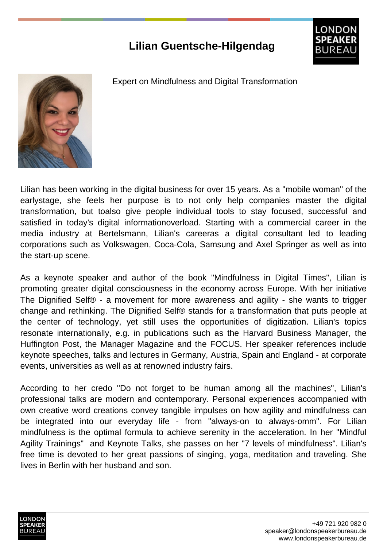## **Lilian Guentsche-Hilgendag**





Expert on Mindfulness and Digital Transformation

Lilian has been working in the digital business for over 15 years. As a "mobile woman" of the earlystage, she feels her purpose is to not only help companies master the digital transformation, but toalso give people individual tools to stay focused, successful and satisfied in today's digital informationoverload. Starting with a commercial career in the media industry at Bertelsmann, Lilian's careeras a digital consultant led to leading corporations such as Volkswagen, Coca-Cola, Samsung and Axel Springer as well as into the start-up scene.

As a keynote speaker and author of the book "Mindfulness in Digital Times", Lilian is promoting greater digital consciousness in the economy across Europe. With her initiative The Dignified Self® - a movement for more awareness and agility - she wants to trigger change and rethinking. The Dignified Self® stands for a transformation that puts people at the center of technology, yet still uses the opportunities of digitization. Lilian's topics resonate internationally, e.g. in publications such as the Harvard Business Manager, the Huffington Post, the Manager Magazine and the FOCUS. Her speaker references include keynote speeches, talks and lectures in Germany, Austria, Spain and England - at corporate events, universities as well as at renowned industry fairs.

According to her credo "Do not forget to be human among all the machines", Lilian's professional talks are modern and contemporary. Personal experiences accompanied with own creative word creations convey tangible impulses on how agility and mindfulness can be integrated into our everyday life - from "always-on to always-omm". For Lilian mindfulness is the optimal formula to achieve serenity in the acceleration. In her "Mindful Agility Trainings" and Keynote Talks, she passes on her "7 levels of mindfulness". Lilian's free time is devoted to her great passions of singing, yoga, meditation and traveling. She lives in Berlin with her husband and son.